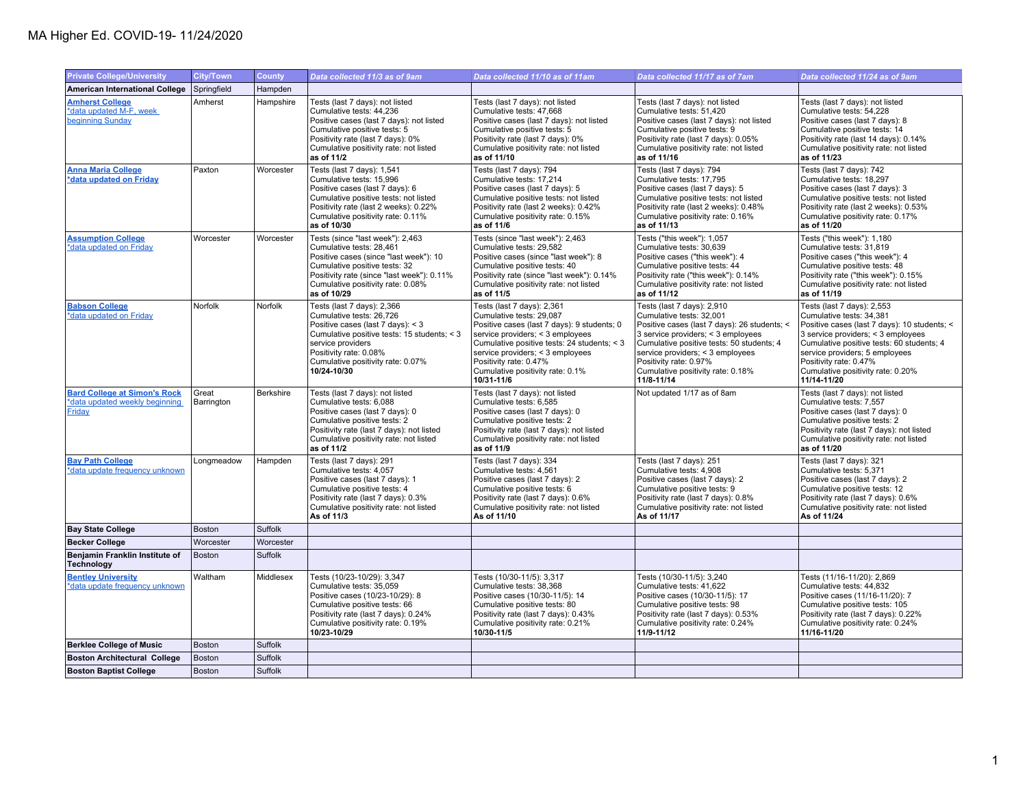## MA Higher Ed. COVID-19- 11/24/2020

| <b>Private College/University</b>                                               | <b>City/Town</b>    | <b>County</b> | Data collected 11/3 as of 9am                                                                                                                                                                                                                 | Data collected 11/10 as of 11am                                                                                                                                                                                                                                                                          | Data collected 11/17 as of 7am                                                                                                                                                                                                                                                                             | Data collected 11/24 as of 9am                                                                                                                                                                                                                                                                            |
|---------------------------------------------------------------------------------|---------------------|---------------|-----------------------------------------------------------------------------------------------------------------------------------------------------------------------------------------------------------------------------------------------|----------------------------------------------------------------------------------------------------------------------------------------------------------------------------------------------------------------------------------------------------------------------------------------------------------|------------------------------------------------------------------------------------------------------------------------------------------------------------------------------------------------------------------------------------------------------------------------------------------------------------|-----------------------------------------------------------------------------------------------------------------------------------------------------------------------------------------------------------------------------------------------------------------------------------------------------------|
|                                                                                 | Springfield         | Hampden       |                                                                                                                                                                                                                                               |                                                                                                                                                                                                                                                                                                          |                                                                                                                                                                                                                                                                                                            |                                                                                                                                                                                                                                                                                                           |
| <b>American International College</b>                                           |                     |               |                                                                                                                                                                                                                                               |                                                                                                                                                                                                                                                                                                          |                                                                                                                                                                                                                                                                                                            |                                                                                                                                                                                                                                                                                                           |
| <b>Amherst College</b><br>*data updated M-F, week<br>beginning Sunday           | Amherst             | Hampshire     | Tests (last 7 days): not listed<br>Cumulative tests: 44,236<br>Positive cases (last 7 days): not listed<br>Cumulative positive tests: 5<br>Positivity rate (last 7 days): 0%<br>Cumulative positivity rate: not listed<br>as of 11/2          | Tests (last 7 days): not listed<br>Cumulative tests: 47,668<br>Positive cases (last 7 days): not listed<br>Cumulative positive tests: 5<br>Positivity rate (last 7 days): 0%<br>Cumulative positivity rate: not listed<br>as of 11/10                                                                    | Tests (last 7 days): not listed<br>Cumulative tests: 51,420<br>Positive cases (last 7 days): not listed<br>Cumulative positive tests: 9<br>Positivity rate (last 7 days): 0.05%<br>Cumulative positivity rate: not listed<br>as of 11/16                                                                   | Tests (last 7 days): not listed<br>Cumulative tests: 54,228<br>Positive cases (last 7 days): 8<br>Cumulative positive tests: 14<br>Positivity rate (last 14 days): 0.14%<br>Cumulative positivity rate: not listed<br>as of 11/23                                                                         |
| <b>Anna Maria College</b><br>*data updated on Friday                            | Paxton              | Worcester     | Tests (last 7 days): 1,541<br>Cumulative tests: 15,996<br>Positive cases (last 7 days): 6<br>Cumulative positive tests: not listed<br>Positivity rate (last 2 weeks): 0.22%<br>Cumulative positivity rate: 0.11%<br>as of 10/30               | Tests (last 7 days): 794<br>Cumulative tests: 17,214<br>Positive cases (last 7 days): 5<br>Cumulative positive tests: not listed<br>Positivity rate (last 2 weeks): 0.42%<br>Cumulative positivity rate: 0.15%<br>as of 11/6                                                                             | Tests (last 7 days): 794<br>Cumulative tests: 17,795<br>Positive cases (last 7 days): 5<br>Cumulative positive tests: not listed<br>Positivity rate (last 2 weeks): 0.48%<br>Cumulative positivity rate: 0.16%<br>as of 11/13                                                                              | Tests (last 7 days): 742<br>Cumulative tests: 18,297<br>Positive cases (last 7 days): 3<br>Cumulative positive tests: not listed<br>Positivity rate (last 2 weeks): 0.53%<br>Cumulative positivity rate: 0.17%<br>as of 11/20                                                                             |
| <b>Assumption College</b><br>*data updated on Friday                            | Worcester           | Worcester     | Tests (since "last week"): 2,463<br>Cumulative tests: 28.461<br>Positive cases (since "last week"): 10<br>Cumulative positive tests: 32<br>Positivity rate (since "last week"): 0.11%<br>Cumulative positivity rate: 0.08%<br>as of 10/29     | Tests (since "last week"): 2,463<br>Cumulative tests: 29.582<br>Positive cases (since "last week"): 8<br>Cumulative positive tests: 40<br>Positivity rate (since "last week"): 0.14%<br>Cumulative positivity rate: not listed<br>as of 11/5                                                             | Tests ("this week"): 1,057<br>Cumulative tests: 30.639<br>Positive cases ("this week"): 4<br>Cumulative positive tests: 44<br>Positivity rate ("this week"): 0.14%<br>Cumulative positivity rate: not listed<br>as of 11/12                                                                                | Tests ("this week"): 1,180<br>Cumulative tests: 31.819<br>Positive cases ("this week"): 4<br>Cumulative positive tests: 48<br>Positivity rate ("this week"): 0.15%<br>Cumulative positivity rate: not listed<br>as of 11/19                                                                               |
| <b>Babson College</b><br>*data updated on Friday                                | Norfolk             | Norfolk       | Tests (last 7 days): 2,366<br>Cumulative tests: 26,726<br>Positive cases (last 7 days): < 3<br>Cumulative positive tests: 15 students; < 3<br>service providers<br>Positivity rate: 0.08%<br>Cumulative positivity rate: 0.07%<br>10/24-10/30 | Tests (last 7 days): 2,361<br>Cumulative tests: 29,087<br>Positive cases (last 7 days): 9 students; 0<br>service providers; < 3 employees<br>Cumulative positive tests: 24 students; < 3<br>service providers; < 3 employees<br>Positivity rate: 0.47%<br>Cumulative positivity rate: 0.1%<br>10/31-11/6 | Tests (last 7 days): 2,910<br>Cumulative tests: 32,001<br>Positive cases (last 7 days): 26 students; <<br>3 service providers; < 3 employees<br>Cumulative positive tests: 50 students; 4<br>service providers; < 3 employees<br>Positivity rate: 0.97%<br>Cumulative positivity rate: 0.18%<br>11/8-11/14 | Tests (last 7 days): 2,553<br>Cumulative tests: 34,381<br>Positive cases (last 7 days): 10 students; <<br>3 service providers; < 3 employees<br>Cumulative positive tests: 60 students; 4<br>service providers; 5 employees<br>Positivity rate: 0.47%<br>Cumulative positivity rate: 0.20%<br>11/14-11/20 |
| <b>Bard College at Simon's Rock</b><br>*data updated weekly beginning<br>Friday | Great<br>Barrington | Berkshire     | Tests (last 7 days): not listed<br>Cumulative tests: 6,088<br>Positive cases (last 7 days): 0<br>Cumulative positive tests: 2<br>Positivity rate (last 7 days): not listed<br>Cumulative positivity rate: not listed<br>as of 11/2            | Tests (last 7 days): not listed<br>Cumulative tests: 6,585<br>Positive cases (last 7 days): 0<br>Cumulative positive tests: 2<br>Positivity rate (last 7 days): not listed<br>Cumulative positivity rate: not listed<br>as of 11/9                                                                       | Not updated 1/17 as of 8am                                                                                                                                                                                                                                                                                 | Tests (last 7 days): not listed<br>Cumulative tests: 7,557<br>Positive cases (last 7 days): 0<br>Cumulative positive tests: 2<br>Positivity rate (last 7 days): not listed<br>Cumulative positivity rate: not listed<br>as of 11/20                                                                       |
| <b>Bav Path College</b><br>*data update frequency unknown                       | Longmeadow          | Hampden       | Tests (last 7 days): 291<br>Cumulative tests: 4,057<br>Positive cases (last 7 days): 1<br>Cumulative positive tests: 4<br>Positivity rate (last 7 days): 0.3%<br>Cumulative positivity rate: not listed<br>As of 11/3                         | Tests (last 7 days): 334<br>Cumulative tests: 4,561<br>Positive cases (last 7 days): 2<br>Cumulative positive tests: 6<br>Positivity rate (last 7 days): 0.6%<br>Cumulative positivity rate: not listed<br>As of 11/10                                                                                   | Tests (last 7 days): 251<br>Cumulative tests: 4,908<br>Positive cases (last 7 days): 2<br>Cumulative positive tests: 9<br>Positivity rate (last 7 days): 0.8%<br>Cumulative positivity rate: not listed<br>As of 11/17                                                                                     | Tests (last 7 days): 321<br>Cumulative tests: 5,371<br>Positive cases (last 7 days): 2<br>Cumulative positive tests: 12<br>Positivity rate (last 7 days): 0.6%<br>Cumulative positivity rate: not listed<br>As of 11/24                                                                                   |
| <b>Bay State College</b>                                                        | <b>Boston</b>       | Suffolk       |                                                                                                                                                                                                                                               |                                                                                                                                                                                                                                                                                                          |                                                                                                                                                                                                                                                                                                            |                                                                                                                                                                                                                                                                                                           |
| <b>Becker College</b>                                                           | Worcester           | Worcester     |                                                                                                                                                                                                                                               |                                                                                                                                                                                                                                                                                                          |                                                                                                                                                                                                                                                                                                            |                                                                                                                                                                                                                                                                                                           |
| Benjamin Franklin Institute of<br><b>Technology</b>                             | <b>Boston</b>       | Suffolk       |                                                                                                                                                                                                                                               |                                                                                                                                                                                                                                                                                                          |                                                                                                                                                                                                                                                                                                            |                                                                                                                                                                                                                                                                                                           |
| <b>Bentley University</b><br>*data update frequency unknown                     | Waltham             | Middlesex     | Tests (10/23-10/29): 3,347<br>Cumulative tests: 35,059<br>Positive cases (10/23-10/29): 8<br>Cumulative positive tests: 66<br>Positivity rate (last 7 days): 0.24%<br>Cumulative positivity rate: 0.19%<br>10/23-10/29                        | Tests (10/30-11/5): 3,317<br>Cumulative tests: 38,368<br>Positive cases (10/30-11/5): 14<br>Cumulative positive tests: 80<br>Positivity rate (last 7 days): 0.43%<br>Cumulative positivity rate: 0.21%<br>10/30-11/5                                                                                     | Tests (10/30-11/5): 3,240<br>Cumulative tests: 41,622<br>Positive cases (10/30-11/5): 17<br>Cumulative positive tests: 98<br>Positivity rate (last 7 days): 0.53%<br>Cumulative positivity rate: 0.24%<br>11/9-11/12                                                                                       | Tests (11/16-11/20): 2,869<br>Cumulative tests: 44,832<br>Positive cases (11/16-11/20): 7<br>Cumulative positive tests: 105<br>Positivity rate (last 7 days): 0.22%<br>Cumulative positivity rate: 0.24%<br>11/16-11/20                                                                                   |
| <b>Berklee College of Music</b>                                                 | <b>Boston</b>       | Suffolk       |                                                                                                                                                                                                                                               |                                                                                                                                                                                                                                                                                                          |                                                                                                                                                                                                                                                                                                            |                                                                                                                                                                                                                                                                                                           |
| <b>Boston Architectural College</b>                                             | <b>Boston</b>       | Suffolk       |                                                                                                                                                                                                                                               |                                                                                                                                                                                                                                                                                                          |                                                                                                                                                                                                                                                                                                            |                                                                                                                                                                                                                                                                                                           |
| <b>Boston Baptist College</b>                                                   | Boston              | Suffolk       |                                                                                                                                                                                                                                               |                                                                                                                                                                                                                                                                                                          |                                                                                                                                                                                                                                                                                                            |                                                                                                                                                                                                                                                                                                           |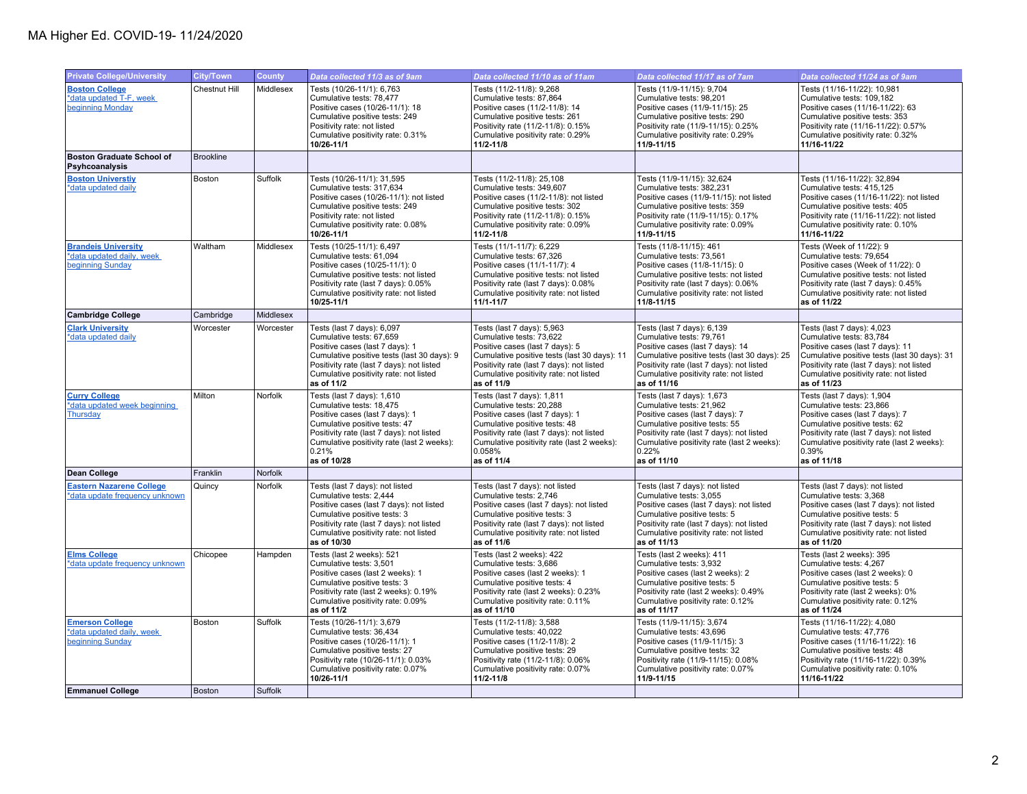| <b>Private College/University</b>                                              | City/Town            | County    | Data collected 11/3 as of 9am                                                                                                                                                                                                                 | Data collected 11/10 as of 11am                                                                                                                                                                                                                | Data collected 11/17 as of 7am                                                                                                                                                                                                                   | Data collected 11/24 as of 9am                                                                                                                                                                                                                   |
|--------------------------------------------------------------------------------|----------------------|-----------|-----------------------------------------------------------------------------------------------------------------------------------------------------------------------------------------------------------------------------------------------|------------------------------------------------------------------------------------------------------------------------------------------------------------------------------------------------------------------------------------------------|--------------------------------------------------------------------------------------------------------------------------------------------------------------------------------------------------------------------------------------------------|--------------------------------------------------------------------------------------------------------------------------------------------------------------------------------------------------------------------------------------------------|
| <b>Boston College</b><br>*data updated T-F, week<br>beginning Monday           | <b>Chestnut Hill</b> | Middlesex | Tests (10/26-11/1): 6,763<br>Cumulative tests: 78,477<br>Positive cases (10/26-11/1): 18<br>Cumulative positive tests: 249<br>Positivity rate: not listed<br>Cumulative positivity rate: 0.31%<br>10/26-11/1                                  | Tests (11/2-11/8): 9,268<br>Cumulative tests: 87,864<br>Positive cases (11/2-11/8): 14<br>Cumulative positive tests: 261<br>Positivity rate (11/2-11/8): 0.15%<br>Cumulative positivity rate: 0.29%<br>$11/2 - 11/8$                           | Tests (11/9-11/15): 9,704<br>Cumulative tests: 98,201<br>Positive cases (11/9-11/15): 25<br>Cumulative positive tests: 290<br>Positivity rate (11/9-11/15): 0.25%<br>Cumulative positivity rate: 0.29%<br>11/9-11/15                             | Tests (11/16-11/22): 10,981<br>Cumulative tests: 109,182<br>Positive cases (11/16-11/22): 63<br>Cumulative positive tests: 353<br>Positivity rate (11/16-11/22): 0.57%<br>Cumulative positivity rate: 0.32%<br>11/16-11/22                       |
| <b>Boston Graduate School of</b><br>Psyhcoanalysis                             | <b>Brookline</b>     |           |                                                                                                                                                                                                                                               |                                                                                                                                                                                                                                                |                                                                                                                                                                                                                                                  |                                                                                                                                                                                                                                                  |
| <b>Boston Universtiv</b><br>*data updated daily                                | Boston               | Suffolk   | Tests (10/26-11/1): 31,595<br>Cumulative tests: 317,634<br>Positive cases (10/26-11/1): not listed<br>Cumulative positive tests: 249<br>Positivity rate: not listed<br>Cumulative positivity rate: 0.08%<br>10/26-11/1                        | Tests (11/2-11/8): 25,108<br>Cumulative tests: 349.607<br>Positive cases (11/2-11/8): not listed<br>Cumulative positive tests: 302<br>Positivity rate (11/2-11/8): 0.15%<br>Cumulative positivity rate: 0.09%<br>$11/2 - 11/8$                 | Tests (11/9-11/15): 32,624<br>Cumulative tests: 382,231<br>Positive cases (11/9-11/15): not listed<br>Cumulative positive tests: 359<br>Positivity rate (11/9-11/15): 0.17%<br>Cumulative positivity rate: 0.09%<br>11/9-11/15                   | Tests (11/16-11/22): 32,894<br>Cumulative tests: 415.125<br>Positive cases (11/16-11/22): not listed<br>Cumulative positive tests: 405<br>Positivity rate (11/16-11/22): not listed<br>Cumulative positivity rate: 0.10%<br>11/16-11/22          |
| <b>Brandeis University</b><br>*data updated daily, week<br>beginning Sunday    | Waltham              | Middlesex | Tests (10/25-11/1): 6,497<br>Cumulative tests: 61,094<br>Positive cases (10/25-11/1): 0<br>Cumulative positive tests: not listed<br>Positivity rate (last 7 days): 0.05%<br>Cumulative positivity rate: not listed<br>10/25-11/1              | Tests (11/1-11/7): 6,229<br>Cumulative tests: 67,326<br>Positive cases (11/1-11/7): 4<br>Cumulative positive tests: not listed<br>Positivity rate (last 7 days): 0.08%<br>Cumulative positivity rate: not listed<br>$11/1 - 11/7$              | Tests (11/8-11/15): 461<br>Cumulative tests: 73,561<br>Positive cases (11/8-11/15): 0<br>Cumulative positive tests: not listed<br>Positivity rate (last 7 days): 0.06%<br>Cumulative positivity rate: not listed<br>11/8-11/15                   | Tests (Week of 11/22): 9<br>Cumulative tests: 79,654<br>Positive cases (Week of 11/22): 0<br>Cumulative positive tests: not listed<br>Positivity rate (last 7 days): 0.45%<br>Cumulative positivity rate: not listed<br>as of 11/22              |
| <b>Cambridge College</b>                                                       | Cambridge            | Middlesex |                                                                                                                                                                                                                                               |                                                                                                                                                                                                                                                |                                                                                                                                                                                                                                                  |                                                                                                                                                                                                                                                  |
| <b>Clark University</b><br>*data updated daily                                 | Worcester            | Worcester | Tests (last 7 days): 6,097<br>Cumulative tests: 67,659<br>Positive cases (last 7 days): 1<br>Cumulative positive tests (last 30 days): 9<br>Positivity rate (last 7 days): not listed<br>Cumulative positivity rate: not listed<br>as of 11/2 | Tests (last 7 days): 5,963<br>Cumulative tests: 73,622<br>Positive cases (last 7 days): 5<br>Cumulative positive tests (last 30 days): 11<br>Positivity rate (last 7 days): not listed<br>Cumulative positivity rate: not listed<br>as of 11/9 | Tests (last 7 days): 6,139<br>Cumulative tests: 79,761<br>Positive cases (last 7 days): 14<br>Cumulative positive tests (last 30 days): 25<br>Positivity rate (last 7 days): not listed<br>Cumulative positivity rate: not listed<br>as of 11/16 | Tests (last 7 days): 4,023<br>Cumulative tests: 83,784<br>Positive cases (last 7 days): 11<br>Cumulative positive tests (last 30 days): 31<br>Positivity rate (last 7 days): not listed<br>Cumulative positivity rate: not listed<br>as of 11/23 |
| <b>Curry College</b><br>*data updated week beginning<br>Thursday               | Milton               | Norfolk   | Tests (last 7 days): 1,610<br>Cumulative tests: 18.475<br>Positive cases (last 7 days): 1<br>Cumulative positive tests: 47<br>Positivity rate (last 7 days): not listed<br>Cumulative positivity rate (last 2 weeks):<br>0.21%<br>as of 10/28 | Tests (last 7 days): 1,811<br>Cumulative tests: 20.288<br>Positive cases (last 7 days): 1<br>Cumulative positive tests: 48<br>Positivity rate (last 7 days): not listed<br>Cumulative positivity rate (last 2 weeks):<br>0.058%<br>as of 11/4  | Tests (last 7 days): 1,673<br>Cumulative tests: 21.962<br>Positive cases (last 7 days): 7<br>Cumulative positive tests: 55<br>Positivity rate (last 7 days): not listed<br>Cumulative positivity rate (last 2 weeks):<br>0.22%<br>as of 11/10    | Tests (last 7 days): 1,904<br>Cumulative tests: 23.866<br>Positive cases (last 7 days): 7<br>Cumulative positive tests: 62<br>Positivity rate (last 7 days): not listed<br>Cumulative positivity rate (last 2 weeks):<br>0.39%<br>as of 11/18    |
| Dean College                                                                   | Franklin             | Norfolk   |                                                                                                                                                                                                                                               |                                                                                                                                                                                                                                                |                                                                                                                                                                                                                                                  |                                                                                                                                                                                                                                                  |
| <b>Eastern Nazarene College</b><br>*data update frequency unknown              | Quincy               | Norfolk   | Tests (last 7 days): not listed<br>Cumulative tests: 2,444<br>Positive cases (last 7 days): not listed<br>Cumulative positive tests: 3<br>Positivity rate (last 7 days): not listed<br>Cumulative positivity rate: not listed<br>as of 10/30  | Tests (last 7 days): not listed<br>Cumulative tests: 2,746<br>Positive cases (last 7 days): not listed<br>Cumulative positive tests: 3<br>Positivity rate (last 7 days): not listed<br>Cumulative positivity rate: not listed<br>as of 11/6    | Tests (last 7 days): not listed<br>Cumulative tests: 3,055<br>Positive cases (last 7 days): not listed<br>Cumulative positive tests: 5<br>Positivity rate (last 7 days): not listed<br>Cumulative positivity rate: not listed<br>as of 11/13     | Tests (last 7 days): not listed<br>Cumulative tests: 3,368<br>Positive cases (last 7 days): not listed<br>Cumulative positive tests: 5<br>Positivity rate (last 7 days): not listed<br>Cumulative positivity rate: not listed<br>as of 11/20     |
| <b>Elms College</b><br>*data update frequency unknown                          | Chicopee             | Hampden   | Tests (last 2 weeks): 521<br>Cumulative tests: 3,501<br>Positive cases (last 2 weeks): 1<br>Cumulative positive tests: 3<br>Positivity rate (last 2 weeks): 0.19%<br>Cumulative positivity rate: 0.09%<br>as of 11/2                          | Tests (last 2 weeks): 422<br>Cumulative tests: 3,686<br>Positive cases (last 2 weeks): 1<br>Cumulative positive tests: 4<br>Positivity rate (last 2 weeks): 0.23%<br>Cumulative positivity rate: 0.11%<br>as of 11/10                          | Tests (last 2 weeks): 411<br>Cumulative tests: 3.932<br>Positive cases (last 2 weeks): 2<br>Cumulative positive tests: 5<br>Positivity rate (last 2 weeks): 0.49%<br>Cumulative positivity rate: 0.12%<br>as of 11/17                            | Tests (last 2 weeks): 395<br>Cumulative tests: 4,267<br>Positive cases (last 2 weeks): 0<br>Cumulative positive tests: 5<br>Positivity rate (last 2 weeks): 0%<br>Cumulative positivity rate: 0.12%<br>as of 11/24                               |
| <b>Emerson College</b><br>*data updated daily, week<br><b>beginning Sunday</b> | Boston               | Suffolk   | Tests (10/26-11/1): 3,679<br>Cumulative tests: 36,434<br>Positive cases (10/26-11/1): 1<br>Cumulative positive tests: 27<br>Positivity rate (10/26-11/1): 0.03%<br>Cumulative positivity rate: 0.07%<br>10/26-11/1                            | Tests (11/2-11/8): 3,588<br>Cumulative tests: 40,022<br>Positive cases (11/2-11/8): 2<br>Cumulative positive tests: 29<br>Positivity rate (11/2-11/8): 0.06%<br>Cumulative positivity rate: 0.07%<br>$11/2 - 11/8$                             | Tests (11/9-11/15): 3,674<br>Cumulative tests: 43,696<br>Positive cases (11/9-11/15): 3<br>Cumulative positive tests: 32<br>Positivity rate (11/9-11/15): 0.08%<br>Cumulative positivity rate: 0.07%<br>11/9-11/15                               | Tests (11/16-11/22): 4,080<br>Cumulative tests: 47,776<br>Positive cases (11/16-11/22): 16<br>Cumulative positive tests: 48<br>Positivity rate (11/16-11/22): 0.39%<br>Cumulative positivity rate: 0.10%<br>11/16-11/22                          |
| <b>Emmanuel College</b>                                                        | <b>Boston</b>        | Suffolk   |                                                                                                                                                                                                                                               |                                                                                                                                                                                                                                                |                                                                                                                                                                                                                                                  |                                                                                                                                                                                                                                                  |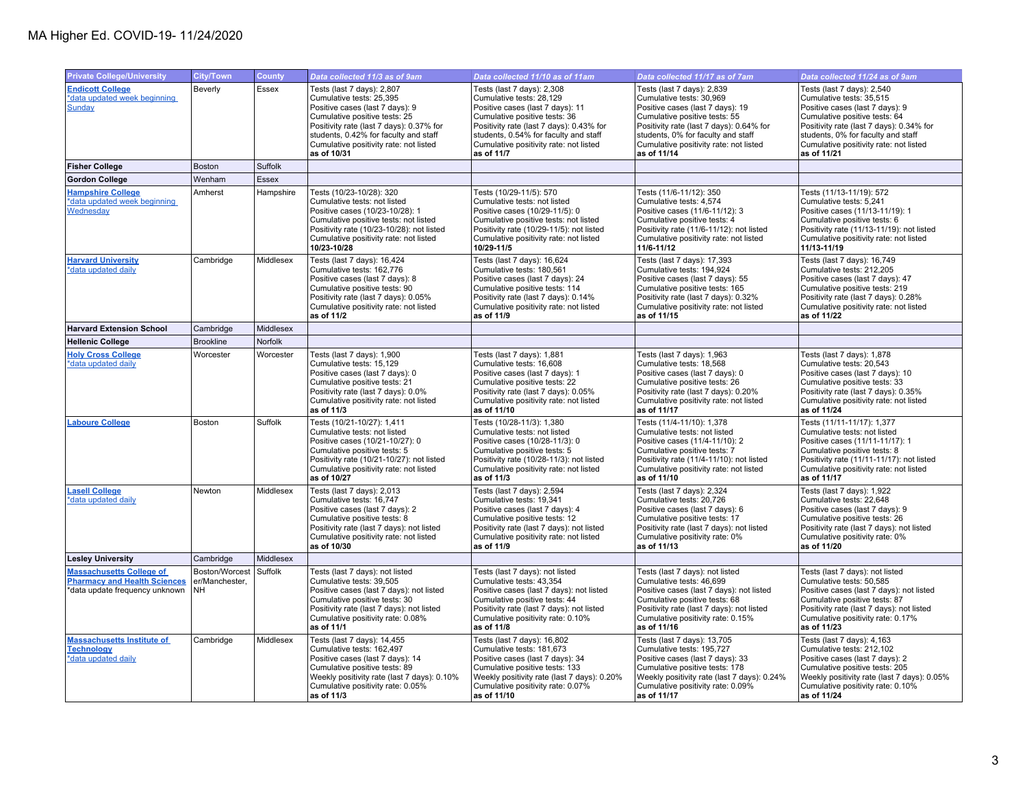| <b>Private College/University</b>                                                                        | City/Town                               | County    | Data collected 11/3 as of 9am                                                                                                                                                                                                                                            | Data collected 11/10 as of 11am                                                                                                                                                                                                                                          | Data collected 11/17 as of 7am                                                                                                                                                                                                                                         | Data collected 11/24 as of 9am                                                                                                                                                                                                                                        |
|----------------------------------------------------------------------------------------------------------|-----------------------------------------|-----------|--------------------------------------------------------------------------------------------------------------------------------------------------------------------------------------------------------------------------------------------------------------------------|--------------------------------------------------------------------------------------------------------------------------------------------------------------------------------------------------------------------------------------------------------------------------|------------------------------------------------------------------------------------------------------------------------------------------------------------------------------------------------------------------------------------------------------------------------|-----------------------------------------------------------------------------------------------------------------------------------------------------------------------------------------------------------------------------------------------------------------------|
| <b>Endicott College</b><br>*data updated week beginning<br>Sunday                                        | Beverly                                 | Essex     | Tests (last 7 days): 2,807<br>Cumulative tests: 25,395<br>Positive cases (last 7 days): 9<br>Cumulative positive tests: 25<br>Positivity rate (last 7 days): 0.37% for<br>students, 0.42% for faculty and staff<br>Cumulative positivity rate: not listed<br>as of 10/31 | Tests (last 7 days): 2,308<br>Cumulative tests: 28,129<br>Positive cases (last 7 days): 11<br>Cumulative positive tests: 36<br>Positivity rate (last 7 days): 0.43% for<br>students, 0.54% for faculty and staff<br>Cumulative positivity rate: not listed<br>as of 11/7 | Tests (last 7 days): 2,839<br>Cumulative tests: 30,969<br>Positive cases (last 7 days): 19<br>Cumulative positive tests: 55<br>Positivity rate (last 7 days): 0.64% for<br>students, 0% for faculty and staff<br>Cumulative positivity rate: not listed<br>as of 11/14 | Tests (last 7 days): 2,540<br>Cumulative tests: 35,515<br>Positive cases (last 7 days): 9<br>Cumulative positive tests: 64<br>Positivity rate (last 7 days): 0.34% for<br>students, 0% for faculty and staff<br>Cumulative positivity rate: not listed<br>as of 11/21 |
| <b>Fisher College</b>                                                                                    | <b>Boston</b>                           | Suffolk   |                                                                                                                                                                                                                                                                          |                                                                                                                                                                                                                                                                          |                                                                                                                                                                                                                                                                        |                                                                                                                                                                                                                                                                       |
| <b>Gordon College</b>                                                                                    | Wenham                                  | Essex     |                                                                                                                                                                                                                                                                          |                                                                                                                                                                                                                                                                          |                                                                                                                                                                                                                                                                        |                                                                                                                                                                                                                                                                       |
| <b>Hampshire College</b><br>*data updated week beginning<br>Wednesday                                    | Amherst                                 | Hampshire | Tests (10/23-10/28): 320<br>Cumulative tests: not listed<br>Positive cases (10/23-10/28): 1<br>Cumulative positive tests: not listed<br>Positivity rate (10/23-10/28): not listed<br>Cumulative positivity rate: not listed<br>10/23-10/28                               | Tests (10/29-11/5): 570<br>Cumulative tests: not listed<br>Positive cases (10/29-11/5): 0<br>Cumulative positive tests: not listed<br>Positivity rate (10/29-11/5): not listed<br>Cumulative positivity rate: not listed<br>10/29-11/5                                   | Tests (11/6-11/12): 350<br>Cumulative tests: 4,574<br>Positive cases (11/6-11/12): 3<br>Cumulative positive tests: 4<br>Positivity rate (11/6-11/12): not listed<br>Cumulative positivity rate: not listed<br>11/6-11/12                                               | Tests (11/13-11/19): 572<br>Cumulative tests: 5,241<br>Positive cases (11/13-11/19): 1<br>Cumulative positive tests: 6<br>Positivity rate (11/13-11/19): not listed<br>Cumulative positivity rate: not listed<br>11/13-11/19                                          |
| <b>Harvard University</b><br>*data updated daily                                                         | Cambridge                               | Middlesex | Tests (last 7 days): 16,424<br>Cumulative tests: 162,776<br>Positive cases (last 7 days): 8<br>Cumulative positive tests: 90<br>Positivity rate (last 7 days): 0.05%<br>Cumulative positivity rate: not listed<br>as of 11/2                                             | Tests (last 7 days): 16,624<br>Cumulative tests: 180,561<br>Positive cases (last 7 days): 24<br>Cumulative positive tests: 114<br>Positivity rate (last 7 days): 0.14%<br>Cumulative positivity rate: not listed<br>as of 11/9                                           | Tests (last 7 days): 17,393<br>Cumulative tests: 194,924<br>Positive cases (last 7 days): 55<br>Cumulative positive tests: 165<br>Positivity rate (last 7 days): 0.32%<br>Cumulative positivity rate: not listed<br>as of 11/15                                        | Tests (last 7 days): 16,749<br>Cumulative tests: 212,205<br>Positive cases (last 7 days): 47<br>Cumulative positive tests: 219<br>Positivity rate (last 7 days): 0.28%<br>Cumulative positivity rate: not listed<br>as of 11/22                                       |
| <b>Harvard Extension School</b>                                                                          | Cambridge                               | Middlesex |                                                                                                                                                                                                                                                                          |                                                                                                                                                                                                                                                                          |                                                                                                                                                                                                                                                                        |                                                                                                                                                                                                                                                                       |
| <b>Hellenic College</b>                                                                                  | <b>Brookline</b>                        | Norfolk   |                                                                                                                                                                                                                                                                          |                                                                                                                                                                                                                                                                          |                                                                                                                                                                                                                                                                        |                                                                                                                                                                                                                                                                       |
| <b>Holy Cross College</b><br>*data updated daily                                                         | Worcester                               | Worcester | Tests (last 7 days): 1,900<br>Cumulative tests: 15,129<br>Positive cases (last 7 days): 0<br>Cumulative positive tests: 21<br>Positivity rate (last 7 days): 0.0%<br>Cumulative positivity rate: not listed<br>as of 11/3                                                | Tests (last 7 days): 1,881<br>Cumulative tests: 16,608<br>Positive cases (last 7 days): 1<br>Cumulative positive tests: 22<br>Positivity rate (last 7 days): 0.05%<br>Cumulative positivity rate: not listed<br>as of 11/10                                              | Tests (last 7 days): 1,963<br>Cumulative tests: 18,568<br>Positive cases (last 7 days): 0<br>Cumulative positive tests: 26<br>Positivity rate (last 7 days): 0.20%<br>Cumulative positivity rate: not listed<br>as of 11/17                                            | Tests (last 7 days): 1,878<br>Cumulative tests: 20,543<br>Positive cases (last 7 days): 10<br>Cumulative positive tests: 33<br>Positivity rate (last 7 days): 0.35%<br>Cumulative positivity rate: not listed<br>as of 11/24                                          |
| <b>Laboure College</b>                                                                                   | Boston                                  | Suffolk   | Tests (10/21-10/27): 1,411<br>Cumulative tests: not listed<br>Positive cases (10/21-10/27): 0<br>Cumulative positive tests: 5<br>Positivity rate (10/21-10/27): not listed<br>Cumulative positivity rate: not listed<br>as of 10/27                                      | Tests (10/28-11/3): 1,380<br>Cumulative tests: not listed<br>Positive cases (10/28-11/3): 0<br>Cumulative positive tests: 5<br>Positivity rate (10/28-11/3): not listed<br>Cumulative positivity rate: not listed<br>as of 11/3                                          | Tests (11/4-11/10): 1,378<br>Cumulative tests: not listed<br>Positive cases (11/4-11/10): 2<br>Cumulative positive tests: 7<br>Positivity rate (11/4-11/10): not listed<br>Cumulative positivity rate: not listed<br>as of 11/10                                       | Tests (11/11-11/17): 1,377<br>Cumulative tests: not listed<br>Positive cases (11/11-11/17): 1<br>Cumulative positive tests: 8<br>Positivity rate (11/11-11/17): not listed<br>Cumulative positivity rate: not listed<br>as of 11/17                                   |
| <b>Lasell College</b><br>*data updated daily                                                             | Newton                                  | Middlesex | Tests (last 7 days): 2,013<br>Cumulative tests: 16,747<br>Positive cases (last 7 days): 2<br>Cumulative positive tests: 8<br>Positivity rate (last 7 days): not listed<br>Cumulative positivity rate: not listed<br>as of 10/30                                          | Tests (last 7 days): 2,594<br>Cumulative tests: 19,341<br>Positive cases (last 7 days): 4<br>Cumulative positive tests: 12<br>Positivity rate (last 7 days): not listed<br>Cumulative positivity rate: not listed<br>as of 11/9                                          | Tests (last 7 days): 2,324<br>Cumulative tests: 20,726<br>Positive cases (last 7 days): 6<br>Cumulative positive tests: 17<br>Positivity rate (last 7 days): not listed<br>Cumulative positivity rate: 0%<br>as of 11/13                                               | Tests (last 7 days): 1,922<br>Cumulative tests: 22,648<br>Positive cases (last 7 days): 9<br>Cumulative positive tests: 26<br>Positivity rate (last 7 days): not listed<br>Cumulative positivity rate: 0%<br>as of 11/20                                              |
| <b>Lesley University</b>                                                                                 | Cambridge                               | Middlesex |                                                                                                                                                                                                                                                                          |                                                                                                                                                                                                                                                                          |                                                                                                                                                                                                                                                                        |                                                                                                                                                                                                                                                                       |
| <b>Massachusetts College of</b><br><b>Pharmacy and Health Sciences</b><br>*data update frequency unknown | Boston/Worcest<br>er/Manchester,<br>NH. | Suffolk   | Tests (last 7 days): not listed<br>Cumulative tests: 39,505<br>Positive cases (last 7 days): not listed<br>Cumulative positive tests: 30<br>Positivity rate (last 7 days): not listed<br>Cumulative positivity rate: 0.08%<br>as of 11/1                                 | Tests (last 7 days): not listed<br>Cumulative tests: 43,354<br>Positive cases (last 7 days): not listed<br>Cumulative positive tests: 44<br>Positivity rate (last 7 days): not listed<br>Cumulative positivity rate: 0.10%<br>as of 11/8                                 | Tests (last 7 days): not listed<br>Cumulative tests: 46,699<br>Positive cases (last 7 days): not listed<br>Cumulative positive tests: 68<br>Positivity rate (last 7 days): not listed<br>Cumulative positivity rate: 0.15%<br>as of 11/16                              | Tests (last 7 days): not listed<br>Cumulative tests: 50,585<br>Positive cases (last 7 days): not listed<br>Cumulative positive tests: 87<br>Positivity rate (last 7 days): not listed<br>Cumulative positivity rate: 0.17%<br>as of 11/23                             |
| <b>Massachusetts Institute of</b><br><b>Technology</b><br>*data updated daily                            | Cambridge                               | Middlesex | Tests (last 7 days): 14,455<br>Cumulative tests: 162,497<br>Positive cases (last 7 days): 14<br>Cumulative positive tests: 89<br>Weekly positivity rate (last 7 days): 0.10%<br>Cumulative positivity rate: 0.05%<br>as of 11/3                                          | Tests (last 7 days): 16,802<br>Cumulative tests: 181,673<br>Positive cases (last 7 days): 34<br>Cumulative positive tests: 133<br>Weekly positivity rate (last 7 days): 0.20%<br>Cumulative positivity rate: 0.07%<br>as of 11/10                                        | Tests (last 7 days): 13,705<br>Cumulative tests: 195,727<br>Positive cases (last 7 days): 33<br>Cumulative positive tests: 178<br>Weekly positivity rate (last 7 days): 0.24%<br>Cumulative positivity rate: 0.09%<br>as of 11/17                                      | Tests (last 7 days): 4,163<br>Cumulative tests: 212,102<br>Positive cases (last 7 days): 2<br>Cumulative positive tests: 205<br>Weekly positivity rate (last 7 days): 0.05%<br>Cumulative positivity rate: 0.10%<br>as of 11/24                                       |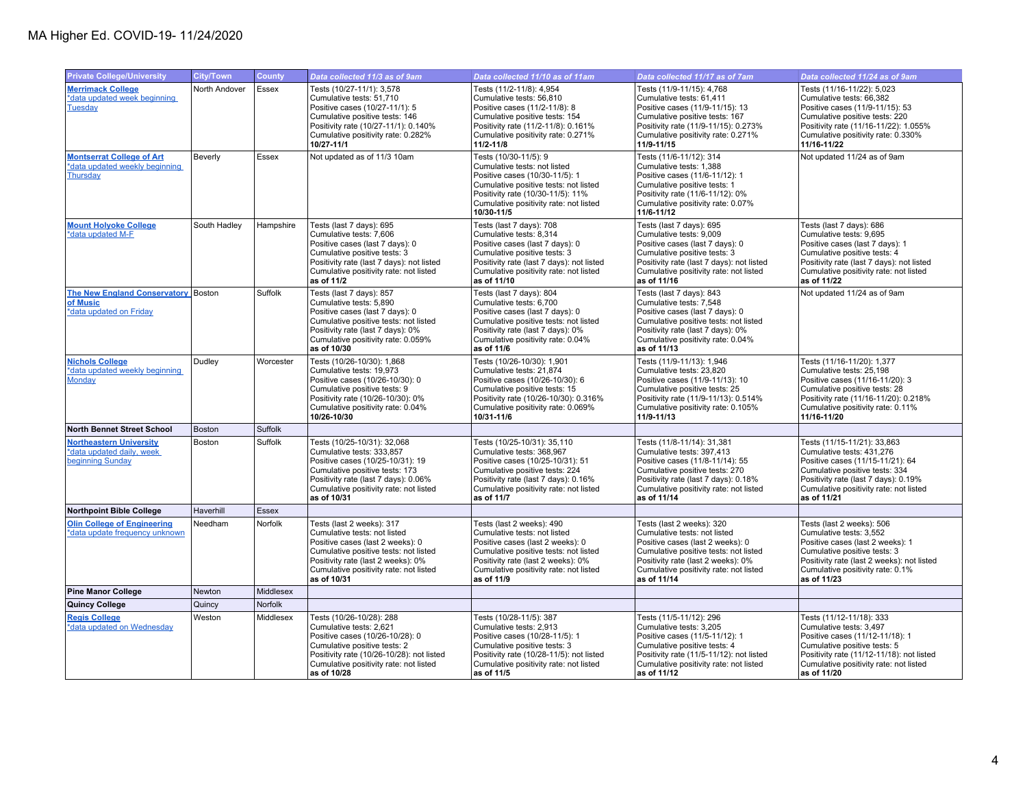| <b>Private College/University</b>                                               | <b>City/Town</b> | <b>County</b> | Data collected 11/3 as of 9am                                                                                                                                                                                                         | Data collected 11/10 as of 11am                                                                                                                                                                                                      | Data collected 11/17 as of 7am                                                                                                                                                                                                        | Data collected 11/24 as of 9am                                                                                                                                                                                                  |
|---------------------------------------------------------------------------------|------------------|---------------|---------------------------------------------------------------------------------------------------------------------------------------------------------------------------------------------------------------------------------------|--------------------------------------------------------------------------------------------------------------------------------------------------------------------------------------------------------------------------------------|---------------------------------------------------------------------------------------------------------------------------------------------------------------------------------------------------------------------------------------|---------------------------------------------------------------------------------------------------------------------------------------------------------------------------------------------------------------------------------|
| <b>Merrimack College</b><br>*data updated week beginning<br><b>Tuesday</b>      | North Andover    | Essex         | Tests (10/27-11/1): 3,578<br>Cumulative tests: 51,710<br>Positive cases (10/27-11/1): 5<br>Cumulative positive tests: 146<br>Positivity rate (10/27-11/1): 0.140%<br>Cumulative positivity rate: 0.282%<br>10/27-11/1                 | Tests (11/2-11/8): 4,954<br>Cumulative tests: 56,810<br>Positive cases (11/2-11/8): 8<br>Cumulative positive tests: 154<br>Positivity rate (11/2-11/8): 0.161%<br>Cumulative positivity rate: 0.271%<br>$11/2 - 11/8$                | Tests (11/9-11/15): 4,768<br>Cumulative tests: 61,411<br>Positive cases (11/9-11/15): 13<br>Cumulative positive tests: 167<br>Positivity rate (11/9-11/15): 0.273%<br>Cumulative positivity rate: 0.271%<br>11/9-11/15                | Tests (11/16-11/22): 5,023<br>Cumulative tests: 66,382<br>Positive cases (11/9-11/15): 53<br>Cumulative positive tests: 220<br>Positivity rate (11/16-11/22): 1.055%<br>Cumulative positivity rate: 0.330%<br>11/16-11/22       |
| <b>Montserrat College of Art</b><br>*data updated weekly beginning<br>Thursday  | Beverly          | Essex         | Not updated as of 11/3 10am                                                                                                                                                                                                           | Tests (10/30-11/5): 9<br>Cumulative tests: not listed<br>Positive cases (10/30-11/5): 1<br>Cumulative positive tests: not listed<br>Positivity rate (10/30-11/5): 11%<br>Cumulative positivity rate: not listed<br>10/30-11/5        | Tests (11/6-11/12): 314<br>Cumulative tests: 1.388<br>Positive cases (11/6-11/12): 1<br>Cumulative positive tests: 1<br>Positivity rate (11/6-11/12): 0%<br>Cumulative positivity rate: 0.07%<br>11/6-11/12                           | Not updated 11/24 as of 9am                                                                                                                                                                                                     |
| <b>Mount Holyoke College</b><br>*data updated M-F                               | South Hadley     | Hampshire     | Tests (last 7 days): 695<br>Cumulative tests: 7,606<br>Positive cases (last 7 days): 0<br>Cumulative positive tests: 3<br>Positivity rate (last 7 days): not listed<br>Cumulative positivity rate: not listed<br>as of 11/2           | Tests (last 7 days): 708<br>Cumulative tests: 8,314<br>Positive cases (last 7 days): 0<br>Cumulative positive tests: 3<br>Positivity rate (last 7 days): not listed<br>Cumulative positivity rate: not listed<br>as of 11/10         | Tests (last 7 days): 695<br>Cumulative tests: 9,009<br>Positive cases (last 7 days): 0<br>Cumulative positive tests: 3<br>Positivity rate (last 7 days): not listed<br>Cumulative positivity rate: not listed<br>as of 11/16          | Tests (last 7 days): 686<br>Cumulative tests: 9,695<br>Positive cases (last 7 days): 1<br>Cumulative positive tests: 4<br>Positivity rate (last 7 days): not listed<br>Cumulative positivity rate: not listed<br>as of 11/22    |
| The New England Conservatory Boston<br>of Music<br>*data updated on Friday      |                  | Suffolk       | Tests (last 7 days): 857<br>Cumulative tests: 5,890<br>Positive cases (last 7 days): 0<br>Cumulative positive tests: not listed<br>Positivity rate (last 7 days): 0%<br>Cumulative positivity rate: 0.059%<br>as of 10/30             | Tests (last 7 days): 804<br>Cumulative tests: 6,700<br>Positive cases (last 7 days): 0<br>Cumulative positive tests: not listed<br>Positivity rate (last 7 days): 0%<br>Cumulative positivity rate: 0.04%<br>as of 11/6              | Tests (last 7 days): 843<br>Cumulative tests: 7,548<br>Positive cases (last 7 days): 0<br>Cumulative positive tests: not listed<br>Positivity rate (last 7 days): 0%<br>Cumulative positivity rate: 0.04%<br>as of 11/13              | Not updated 11/24 as of 9am                                                                                                                                                                                                     |
| <b>Nichols College</b><br>*data updated weekly beginning<br><b>Monday</b>       | Dudley           | Worcester     | Tests (10/26-10/30): 1,868<br>Cumulative tests: 19,973<br>Positive cases (10/26-10/30): 0<br>Cumulative positive tests: 9<br>Positivity rate (10/26-10/30): 0%<br>Cumulative positivity rate: 0.04%<br>10/26-10/30                    | Tests (10/26-10/30): 1,901<br>Cumulative tests: 21,874<br>Positive cases (10/26-10/30): 6<br>Cumulative positive tests: 15<br>Positivity rate (10/26-10/30): 0.316%<br>Cumulative positivity rate: 0.069%<br>10/31-11/6              | Tests (11/9-11/13): 1,946<br>Cumulative tests: 23,820<br>Positive cases (11/9-11/13): 10<br>Cumulative positive tests: 25<br>Positivity rate (11/9-11/13): 0.514%<br>Cumulative positivity rate: 0.105%<br>11/9-11/13                 | Tests (11/16-11/20): 1,377<br>Cumulative tests: 25,198<br>Positive cases (11/16-11/20): 3<br>Cumulative positive tests: 28<br>Positivity rate (11/16-11/20): 0.218%<br>Cumulative positivity rate: 0.11%<br>11/16-11/20         |
| <b>North Bennet Street School</b>                                               | <b>Boston</b>    | Suffolk       |                                                                                                                                                                                                                                       |                                                                                                                                                                                                                                      |                                                                                                                                                                                                                                       |                                                                                                                                                                                                                                 |
| <b>Northeastern University</b><br>*data updated daily, week<br>beginning Sunday | Boston           | Suffolk       | Tests (10/25-10/31): 32,068<br>Cumulative tests: 333,857<br>Positive cases (10/25-10/31): 19<br>Cumulative positive tests: 173<br>Positivity rate (last 7 days): 0.06%<br>Cumulative positivity rate: not listed<br>as of 10/31       | Tests (10/25-10/31): 35,110<br>Cumulative tests: 368,967<br>Positive cases (10/25-10/31): 51<br>Cumulative positive tests: 224<br>Positivity rate (last 7 days): 0.16%<br>Cumulative positivity rate: not listed<br>as of 11/7       | Tests (11/8-11/14): 31,381<br>Cumulative tests: 397,413<br>Positive cases (11/8-11/14): 55<br>Cumulative positive tests: 270<br>Positivity rate (last 7 days): 0.18%<br>Cumulative positivity rate: not listed<br>as of 11/14         | Tests (11/15-11/21): 33,863<br>Cumulative tests: 431,276<br>Positive cases (11/15-11/21): 64<br>Cumulative positive tests: 334<br>Positivity rate (last 7 days): 0.19%<br>Cumulative positivity rate: not listed<br>as of 11/21 |
| <b>Northpoint Bible College</b>                                                 | Haverhill        | Essex         |                                                                                                                                                                                                                                       |                                                                                                                                                                                                                                      |                                                                                                                                                                                                                                       |                                                                                                                                                                                                                                 |
| <b>Olin College of Engineering</b><br>*data update frequency unknown            | Needham          | Norfolk       | Tests (last 2 weeks): 317<br>Cumulative tests: not listed<br>Positive cases (last 2 weeks): 0<br>Cumulative positive tests: not listed<br>Positivity rate (last 2 weeks): 0%<br>Cumulative positivity rate: not listed<br>as of 10/31 | Tests (last 2 weeks): 490<br>Cumulative tests: not listed<br>Positive cases (last 2 weeks): 0<br>Cumulative positive tests: not listed<br>Positivity rate (last 2 weeks): 0%<br>Cumulative positivity rate: not listed<br>as of 11/9 | Tests (last 2 weeks): 320<br>Cumulative tests: not listed<br>Positive cases (last 2 weeks): 0<br>Cumulative positive tests: not listed<br>Positivity rate (last 2 weeks): 0%<br>Cumulative positivity rate: not listed<br>as of 11/14 | Tests (last 2 weeks): 506<br>Cumulative tests: 3,552<br>Positive cases (last 2 weeks): 1<br>Cumulative positive tests: 3<br>Positivity rate (last 2 weeks): not listed<br>Cumulative positivity rate: 0.1%<br>as of 11/23       |
| <b>Pine Manor College</b>                                                       | <b>Newton</b>    | Middlesex     |                                                                                                                                                                                                                                       |                                                                                                                                                                                                                                      |                                                                                                                                                                                                                                       |                                                                                                                                                                                                                                 |
| <b>Quincy College</b>                                                           | Quincy           | Norfolk       |                                                                                                                                                                                                                                       |                                                                                                                                                                                                                                      |                                                                                                                                                                                                                                       |                                                                                                                                                                                                                                 |
| <b>Regis College</b><br>*data updated on Wednesday                              | Weston           | Middlesex     | Tests (10/26-10/28): 288<br>Cumulative tests: 2,621<br>Positive cases (10/26-10/28): 0<br>Cumulative positive tests: 2<br>Positivity rate (10/26-10/28): not listed<br>Cumulative positivity rate: not listed<br>as of 10/28          | Tests (10/28-11/5): 387<br>Cumulative tests: 2,913<br>Positive cases (10/28-11/5): 1<br>Cumulative positive tests: 3<br>Positivity rate (10/28-11/5): not listed<br>Cumulative positivity rate: not listed<br>as of 11/5             | Tests (11/5-11/12): 296<br>Cumulative tests: 3,205<br>Positive cases (11/5-11/12): 1<br>Cumulative positive tests: 4<br>Positivity rate (11/5-11/12): not listed<br>Cumulative positivity rate: not listed<br>as of 11/12             | Tests (11/12-11/18): 333<br>Cumulative tests: 3,497<br>Positive cases (11/12-11/18): 1<br>Cumulative positive tests: 5<br>Positivity rate (11/12-11/18): not listed<br>Cumulative positivity rate: not listed<br>as of 11/20    |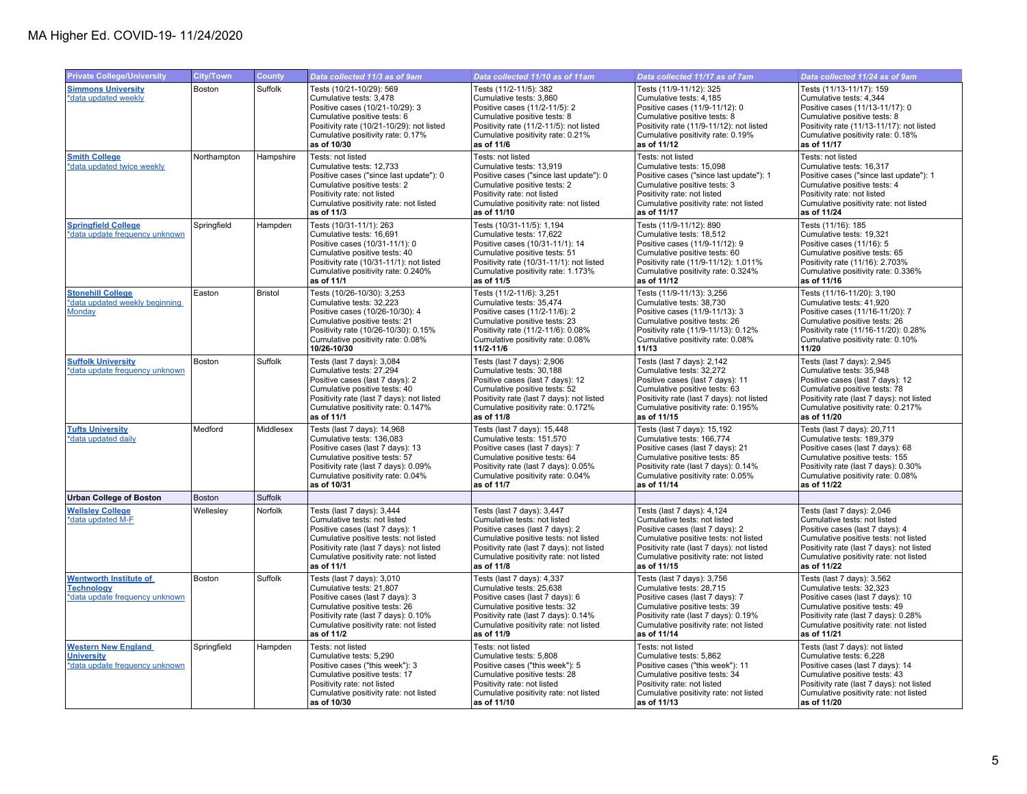| <b>Private College/University</b>                                                    | <b>City/Town</b> | County         | Data collected 11/3 as of 9am                                                                                                                                                                                                               | Data collected 11/10 as of 11am                                                                                                                                                                                                             | Data collected 11/17 as of 7am                                                                                                                                                                                                               | Data collected 11/24 as of 9am                                                                                                                                                                                                               |
|--------------------------------------------------------------------------------------|------------------|----------------|---------------------------------------------------------------------------------------------------------------------------------------------------------------------------------------------------------------------------------------------|---------------------------------------------------------------------------------------------------------------------------------------------------------------------------------------------------------------------------------------------|----------------------------------------------------------------------------------------------------------------------------------------------------------------------------------------------------------------------------------------------|----------------------------------------------------------------------------------------------------------------------------------------------------------------------------------------------------------------------------------------------|
| <b>Simmons University</b><br>*data updated weekly                                    | Boston           | Suffolk        | Tests (10/21-10/29): 569<br>Cumulative tests: 3.478<br>Positive cases (10/21-10/29): 3<br>Cumulative positive tests: 6<br>Positivity rate (10/21-10/29): not listed<br>Cumulative positivity rate: 0.17%<br>as of 10/30                     | Tests (11/2-11/5): 382<br>Cumulative tests: 3.860<br>Positive cases (11/2-11/5): 2<br>Cumulative positive tests: 8<br>Positivity rate (11/2-11/5): not listed<br>Cumulative positivity rate: 0.21%<br>as of 11/6                            | Tests (11/9-11/12): 325<br>Cumulative tests: 4.185<br>Positive cases (11/9-11/12): 0<br>Cumulative positive tests: 8<br>Positivity rate (11/9-11/12): not listed<br>Cumulative positivity rate: 0.19%<br>as of 11/12                         | Tests (11/13-11/17): 159<br>Cumulative tests: 4.344<br>Positive cases (11/13-11/17): 0<br>Cumulative positive tests: 8<br>Positivity rate (11/13-11/17): not listed<br>Cumulative positivity rate: 0.18%<br>as of 11/17                      |
| <b>Smith College</b><br>*data updated twice weekly                                   | Northampton      | Hampshire      | Tests: not listed<br>Cumulative tests: 12,733<br>Positive cases ("since last update"): 0<br>Cumulative positive tests: 2<br>Positivity rate: not listed<br>Cumulative positivity rate: not listed<br>as of 11/3                             | Tests: not listed<br>Cumulative tests: 13,919<br>Positive cases ("since last update"): 0<br>Cumulative positive tests: 2<br>Positivity rate: not listed<br>Cumulative positivity rate: not listed<br>as of 11/10                            | Tests: not listed<br>Cumulative tests: 15,098<br>Positive cases ("since last update"): 1<br>Cumulative positive tests: 3<br>Positivity rate: not listed<br>Cumulative positivity rate: not listed<br>as of 11/17                             | Tests: not listed<br>Cumulative tests: 16,317<br>Positive cases ("since last update"): 1<br>Cumulative positive tests: 4<br>Positivity rate: not listed<br>Cumulative positivity rate: not listed<br>as of 11/24                             |
| <b>Springfield College</b><br>*data update frequency unknown                         | Springfield      | Hampden        | Tests (10/31-11/1): 263<br>Cumulative tests: 16,691<br>Positive cases (10/31-11/1): 0<br>Cumulative positive tests: 40<br>Positivity rate (10/31-11/1): not listed<br>Cumulative positivity rate: 0.240%<br>as of 11/1                      | Tests (10/31-11/5): 1,194<br>Cumulative tests: 17,622<br>Positive cases (10/31-11/1): 14<br>Cumulative positive tests: 51<br>Positivity rate (10/31-11/1): not listed<br>Cumulative positivity rate: 1.173%<br>as of 11/5                   | Tests (11/9-11/12): 890<br>Cumulative tests: 18,512<br>Positive cases (11/9-11/12): 9<br>Cumulative positive tests: 60<br>Positivity rate (11/9-11/12): 1.011%<br>Cumulative positivity rate: 0.324%<br>as of 11/12                          | Tests (11/16): 185<br>Cumulative tests: 19,321<br>Positive cases (11/16): 5<br>Cumulative positive tests: 65<br>Positivity rate (11/16): 2.703%<br>Cumulative positivity rate: 0.336%<br>as of 11/16                                         |
| <b>Stonehill College</b><br>*data updated weekly beginning<br>Monday                 | Easton           | <b>Bristol</b> | Tests (10/26-10/30): 3,253<br>Cumulative tests: 32,223<br>Positive cases (10/26-10/30): 4<br>Cumulative positive tests: 21<br>Positivity rate (10/26-10/30): 0.15%<br>Cumulative positivity rate: 0.08%<br>10/26-10/30                      | Tests (11/2-11/6): 3,251<br>Cumulative tests: 35,474<br>Positive cases (11/2-11/6): 2<br>Cumulative positive tests: 23<br>Positivity rate (11/2-11/6): 0.08%<br>Cumulative positivity rate: 0.08%<br>11/2-11/6                              | Tests (11/9-11/13): 3,256<br>Cumulative tests: 38,730<br>Positive cases (11/9-11/13): 3<br>Cumulative positive tests: 26<br>Positivity rate (11/9-11/13): 0.12%<br>Cumulative positivity rate: 0.08%<br>11/13                                | Tests (11/16-11/20): 3,190<br>Cumulative tests: 41,920<br>Positive cases (11/16-11/20): 7<br>Cumulative positive tests: 26<br>Positivity rate (11/16-11/20): 0.28%<br>Cumulative positivity rate: 0.10%<br>11/20                             |
| <b>Suffolk University</b><br>*data update frequency unknown                          | Boston           | Suffolk        | Tests (last 7 days): 3,084<br>Cumulative tests: 27,294<br>Positive cases (last 7 days): 2<br>Cumulative positive tests: 40<br>Positivity rate (last 7 days): not listed<br>Cumulative positivity rate: 0.147%<br>as of 11/1                 | Tests (last 7 days): 2,906<br>Cumulative tests: 30,188<br>Positive cases (last 7 days): 12<br>Cumulative positive tests: 52<br>Positivity rate (last 7 days): not listed<br>Cumulative positivity rate: 0.172%<br>as of 11/8                | Tests (last 7 days): 2,142<br>Cumulative tests: 32,272<br>Positive cases (last 7 days): 11<br>Cumulative positive tests: 63<br>Positivity rate (last 7 days): not listed<br>Cumulative positivity rate: 0.195%<br>as of 11/15                | Tests (last 7 days): 2,945<br>Cumulative tests: 35,948<br>Positive cases (last 7 days): 12<br>Cumulative positive tests: 78<br>Positivity rate (last 7 days): not listed<br>Cumulative positivity rate: 0.217%<br>as of 11/20                |
| <b>Tufts University</b><br>*data updated daily                                       | Medford          | Middlesex      | Tests (last 7 days): 14,968<br>Cumulative tests: 136,083<br>Positive cases (last 7 days): 13<br>Cumulative positive tests: 57<br>Positivity rate (last 7 days): 0.09%<br>Cumulative positivity rate: 0.04%<br>as of 10/31                   | Tests (last 7 days): 15,448<br>Cumulative tests: 151,570<br>Positive cases (last 7 days): 7<br>Cumulative positive tests: 64<br>Positivity rate (last 7 days): 0.05%<br>Cumulative positivity rate: 0.04%<br>as of 11/7                     | Tests (last 7 days): 15,192<br>Cumulative tests: 166,774<br>Positive cases (last 7 days): 21<br>Cumulative positive tests: 85<br>Positivity rate (last 7 days): 0.14%<br>Cumulative positivity rate: 0.05%<br>as of 11/14                    | Tests (last 7 days): 20,711<br>Cumulative tests: 189,379<br>Positive cases (last 7 days): 68<br>Cumulative positive tests: 155<br>Positivity rate (last 7 days): 0.30%<br>Cumulative positivity rate: 0.08%<br>as of 11/22                   |
| <b>Urban College of Boston</b>                                                       | <b>Boston</b>    | Suffolk        |                                                                                                                                                                                                                                             |                                                                                                                                                                                                                                             |                                                                                                                                                                                                                                              |                                                                                                                                                                                                                                              |
| <b>Wellsley College</b><br>*data updated M-F                                         | Wellesley        | Norfolk        | Tests (last 7 days): 3,444<br>Cumulative tests: not listed<br>Positive cases (last 7 days): 1<br>Cumulative positive tests: not listed<br>Positivity rate (last 7 days): not listed<br>Cumulative positivity rate: not listed<br>as of 11/1 | Tests (last 7 days): 3,447<br>Cumulative tests: not listed<br>Positive cases (last 7 days): 2<br>Cumulative positive tests: not listed<br>Positivity rate (last 7 days): not listed<br>Cumulative positivity rate: not listed<br>as of 11/8 | Tests (last 7 days): 4,124<br>Cumulative tests: not listed<br>Positive cases (last 7 days): 2<br>Cumulative positive tests: not listed<br>Positivity rate (last 7 days): not listed<br>Cumulative positivity rate: not listed<br>as of 11/15 | Tests (last 7 days): 2,046<br>Cumulative tests: not listed<br>Positive cases (last 7 days): 4<br>Cumulative positive tests: not listed<br>Positivity rate (last 7 days): not listed<br>Cumulative positivity rate: not listed<br>as of 11/22 |
| <b>Wentworth Institute of</b><br><b>Technology</b><br>*data update frequency unknown | Boston           | Suffolk        | Tests (last 7 days): 3,010<br>Cumulative tests: 21,807<br>Positive cases (last 7 days): 3<br>Cumulative positive tests: 26<br>Positivity rate (last 7 days): 0.10%<br>Cumulative positivity rate: not listed<br>as of 11/2                  | Tests (last 7 days): 4,337<br>Cumulative tests: 25,638<br>Positive cases (last 7 days): 6<br>Cumulative positive tests: 32<br>Positivity rate (last 7 days): 0.14%<br>Cumulative positivity rate: not listed<br>as of 11/9                  | Tests (last 7 days): 3,756<br>Cumulative tests: 28,715<br>Positive cases (last 7 days): 7<br>Cumulative positive tests: 39<br>Positivity rate (last 7 days): 0.19%<br>Cumulative positivity rate: not listed<br>as of 11/14                  | Tests (last 7 days): 3,562<br>Cumulative tests: 32,323<br>Positive cases (last 7 days): 10<br>Cumulative positive tests: 49<br>Positivity rate (last 7 days): 0.28%<br>Cumulative positivity rate: not listed<br>as of 11/21                 |
| <b>Western New England</b><br><b>University</b><br>*data update frequency unknown    | Springfield      | Hampden        | Tests: not listed<br>Cumulative tests: 5,290<br>Positive cases ("this week"): 3<br>Cumulative positive tests: 17<br>Positivity rate: not listed<br>Cumulative positivity rate: not listed<br>as of 10/30                                    | Tests: not listed<br>Cumulative tests: 5,808<br>Positive cases ("this week"): 5<br>Cumulative positive tests: 28<br>Positivity rate: not listed<br>Cumulative positivity rate: not listed<br>as of 11/10                                    | Tests: not listed<br>Cumulative tests: 5,862<br>Positive cases ("this week"): 11<br>Cumulative positive tests: 34<br>Positivity rate: not listed<br>Cumulative positivity rate: not listed<br>as of 11/13                                    | Tests (last 7 days): not listed<br>Cumulative tests: 6,228<br>Positive cases (last 7 days): 14<br>Cumulative positive tests: 43<br>Positivity rate (last 7 days): not listed<br>Cumulative positivity rate: not listed<br>as of 11/20        |